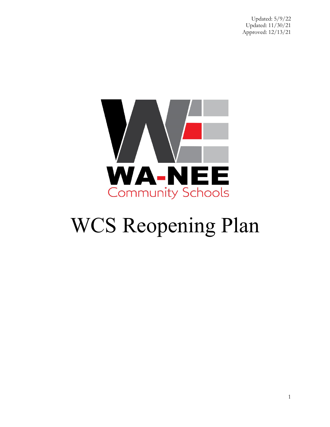

# WCS Reopening Plan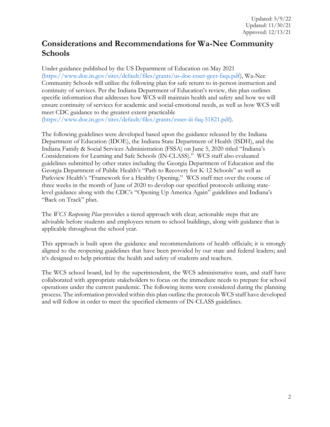### **Considerations and Recommendations for Wa-Nee Community Schools**

Under guidance published by the US Department of Education on May 2021 [\(https://www.doe.in.gov/sites/default/files/grants/us-doe-esser-geer-faqs.pdf\)](https://www.doe.in.gov/sites/default/files/grants/us-doe-esser-geer-faqs.pdf), Wa-Nee Community Schools will utilize the following plan for safe return to in-person instruction and continuity of services. Per the Indiana Department of Education's review, this plan outlines specific information that addresses how WCS will maintain health and safety and how we will ensure continuity of services for academic and social-emotional needs, as well as how WCS will meet CDC guidance to the greatest extent practicable [\(https://www.doe.in.gov/sites/default/files/grants/esser-iii-faq-51821.pdf\)](https://www.doe.in.gov/sites/default/files/grants/esser-iii-faq-51821.pdf).

The following guidelines were developed based upon the guidance released by the Indiana Department of Education (IDOE), the Indiana State Department of Health (ISDH), and the Indiana Family & Social Services Administration (FSSA) on June 5, 2020 titled "Indiana's Considerations for Learning and Safe Schools (IN-CLASS)." WCS staff also evaluated guidelines submitted by other states including the Georgia Department of Education and the Georgia Department of Public Health's "Path to Recovery for K-12 Schools" as well as Parkview Health's "Framework for a Healthy Opening." WCS staff met over the course of three weeks in the month of June of 2020 to develop our specified protocols utilizing statelevel guidance along with the CDC's "Opening Up America Again" guidelines and Indiana's "Back on Track" plan.

The *WCS Reopening Plan* provides a tiered approach with clear, actionable steps that are advisable before students and employees return to school buildings, along with guidance that is applicable throughout the school year.

This approach is built upon the guidance and recommendations of health officials; it is strongly aligned to the reopening guidelines that have been provided by our state and federal leaders; and it's designed to help prioritize the health and safety of students and teachers.

The WCS school board, led by the superintendent, the WCS administrative team, and staff have collaborated with appropriate stakeholders to focus on the immediate needs to prepare for school operations under the current pandemic. The following items were considered during the planning process. The information provided within this plan outline the protocols WCS staff have developed and will follow in order to meet the specified elements of IN-CLASS guidelines.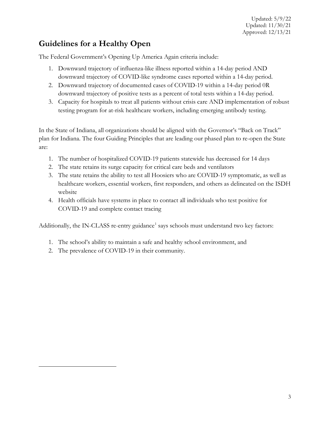### **Guidelines for a Healthy Open**

The Federal Government's Opening Up America Again criteria include:

- 1. Downward trajectory of influenza-like illness reported within a 14-day period AND downward trajectory of COVID-like syndrome cases reported within a 14-day period.
- 2. Downward trajectory of documented cases of COVID-19 within a 14-day period 0R downward trajectory of positive tests as a percent of total tests within a 14-day period.
- 3. Capacity for hospitals to treat all patients without crisis care AND implementation of robust testing program for at-risk healthcare workers, including emerging antibody testing.

In the State of Indiana, all organizations should be aligned with the Governor's "Back on Track" plan for Indiana. The four Guiding Principles that are leading our phased plan to re-open the State are:

- 1. The number of hospitalized COVID-19 patients statewide has decreased for 14 days
- 2. The state retains its surge capacity for critical care beds and ventilators
- 3. The state retains the ability to test all Hoosiers who are COVID-19 symptomatic, as well as healthcare workers, essential workers, first responders, and others as delineated on the ISDH website
- 4. Health officials have systems in place to contact all individuals who test positive for COVID-19 and complete contact tracing

Additionally, the IN-CLASS re-entry guidance<sup>[1](#page-2-0)</sup> says schools must understand two key factors:

- 1. The school's ability to maintain a safe and healthy school environment, and
- <span id="page-2-0"></span>2. The prevalence of COVID-19 in their community.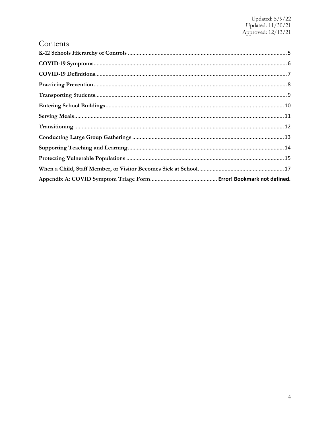### Contents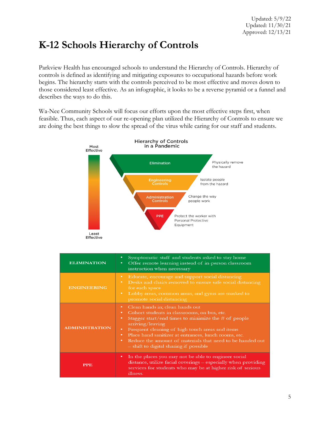### <span id="page-4-0"></span>**K-12 Schools Hierarchy of Controls**

Parkview Health has encouraged schools to understand the Hierarchy of Controls. Hierarchy of controls is defined as identifying and mitigating exposures to occupational hazards before work begins. The hierarchy starts with the controls perceived to be most effective and moves down to those considered least effective. As an infographic, it looks to be a reverse pyramid or a funnel and describes the ways to do this.

Wa-Nee Community Schools will focus our efforts upon the most effective steps first, when feasible. Thus, each aspect of our re-opening plan utilized the Hierarchy of Controls to ensure we are doing the best things to slow the spread of the virus while caring for our staff and students.



| <b>ELIMINATION</b>    | Symptomatic staff and students asked to stay home<br>٠<br>Offer remote learning instead of in-person classroom<br>٠<br>instruction when necessary                                                                                                                                                                                                                                                           |
|-----------------------|-------------------------------------------------------------------------------------------------------------------------------------------------------------------------------------------------------------------------------------------------------------------------------------------------------------------------------------------------------------------------------------------------------------|
| <b>ENGINEERING</b>    | Educate, encourage and support social distancing<br>$\bullet$<br>Desks and chairs removed to ensure safe social distancing<br>$\bullet$<br>for each space<br>Lobby areas, common areas, and gyms are marked to<br>٠<br>promote social distancing                                                                                                                                                            |
| <b>ADMINISTRATION</b> | Clean hands in; clean hands out<br>٠<br>Cohort students in classrooms, on bus, etc.<br>٠<br>Stagger start/end times to minimize the $#$ of people<br>٠<br>arriving/leaving<br>Frequent cleaning of high touch areas and items<br>٠<br>Place hand sanitizer at entrances, lunch rooms, etc.<br>٠<br>Reduce the amount of materials that need to be handed out<br>٠<br>- shift to digital sharing if possible |
| <b>PPE</b>            | In the places you may not be able to engineer social<br>٠<br>distance, utilize facial coverings - especially when providing<br>services for students who may be at higher risk of serious<br>illness.                                                                                                                                                                                                       |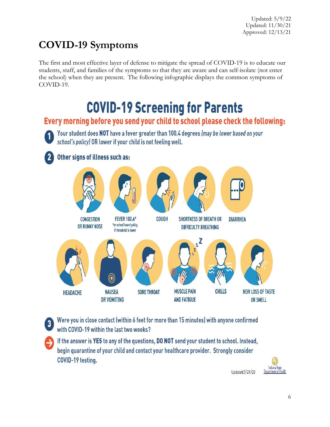# <span id="page-5-0"></span>**COVID-19 Symptoms**

The first and most effective layer of defense to mitigate the spread of COVID-19 is to educate our students, staff, and families of the symptoms so that they are aware and can self-isolate (not enter the school) when they are present. The following infographic displays the common symptoms of COVID-19.

# **COVID-19 Screening for Parents**

### Every morning before you send your child to school please check the following:

Your student does NOT have a fever greater than 100.4 degrees (may be lower based on your school's policy) OR lower if your child is not feeling well.

### Other signs of illness such as:



Were you in close contact (within 6 feet for more than 15 minutes) with anyone confirmed  $\mathbf{3}$ with COVID-19 within the last two weeks?

If the answer is YES to any of the questions, DO NOT send your student to school. Instead, begin quarantine of your child and contact your healthcare provider. Strongly consider COVID-19 testing.

Indiana State Department of Health

Updated: 7/29/20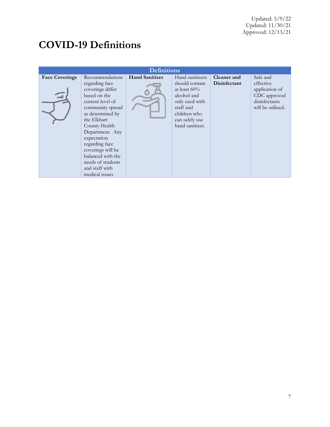# <span id="page-6-0"></span>**COVID-19 Definitions**

| <b>Definitions</b>    |                                                                                                                                                                                                                                                                                                                          |                       |                                                                                                                                                         |                             |                                                                                               |  |  |  |
|-----------------------|--------------------------------------------------------------------------------------------------------------------------------------------------------------------------------------------------------------------------------------------------------------------------------------------------------------------------|-----------------------|---------------------------------------------------------------------------------------------------------------------------------------------------------|-----------------------------|-----------------------------------------------------------------------------------------------|--|--|--|
| <b>Face Coverings</b> | Recommendations<br>regarding face<br>coverings differ<br>based on the<br>current level of<br>community spread<br>as determined by<br>the Elkhart<br>County Health<br>Department. Any<br>expectation<br>regarding face<br>coverings will be<br>balanced with the<br>needs of students<br>and staff with<br>medical issues | <b>Hand Sanitizer</b> | Hand sanitizers<br>should contain<br>at least $60\%$<br>alcohol and<br>only used with<br>staff and<br>children who<br>can safely use<br>hand sanitizer. | Cleaner and<br>Disinfectant | Safe and<br>effective<br>application of<br>CDC approved<br>disinfectants<br>will be utilized. |  |  |  |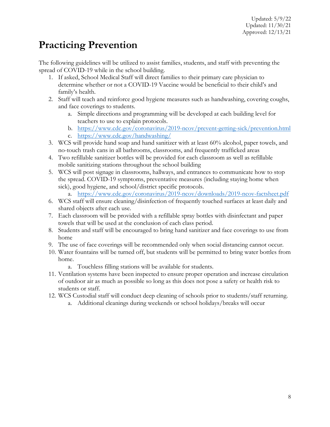# <span id="page-7-0"></span>**Practicing Prevention**

The following guidelines will be utilized to assist families, students, and staff with preventing the spread of COVID-19 while in the school building.

- 1. If asked, School Medical Staff will direct families to their primary care physician to determine whether or not a COVID-19 Vaccine would be beneficial to their child's and family's health.
- 2. Staff will teach and reinforce good hygiene measures such as handwashing, covering coughs, and face coverings to students.
	- a. Simple directions and programming will be developed at each building level for teachers to use to explain protocols.
	- b. <https://www.cdc.gov/coronavirus/2019-ncov/prevent-getting-sick/prevention.html> c. <https://www.cdc.gov/handwashing/>
- 3. WCS will provide hand soap and hand sanitizer with at least 60% alcohol, paper towels, and no-touch trash cans in all bathrooms, classrooms, and frequently trafficked areas
- 4. Two refillable sanitizer bottles will be provided for each classroom as well as refillable mobile sanitizing stations throughout the school building
- 5. WCS will post signage in classrooms, hallways, and entrances to communicate how to stop the spread. COVID-19 symptoms, preventative measures (including staying home when sick), good hygiene, and school/district specific protocols.
	- a. <https://www.cdc.gov/coronavirus/2019-ncov/downloads/2019-ncov-factsheet.pdf>
- 6. WCS staff will ensure cleaning/disinfection of frequently touched surfaces at least daily and shared objects after each use.
- 7. Each classroom will be provided with a refillable spray bottles with disinfectant and paper towels that will be used at the conclusion of each class period.
- 8. Students and staff will be encouraged to bring hand sanitizer and face coverings to use from home
- 9. The use of face coverings will be recommended only when social distancing cannot occur.
- 10. Water fountains will be turned off, but students will be permitted to bring water bottles from home.
	- a. Touchless filling stations will be available for students.
- 11. Ventilation systems have been inspected to ensure proper operation and increase circulation of outdoor air as much as possible so long as this does not pose a safety or health risk to students or staff.
- 12. WCS Custodial staff will conduct deep cleaning of schools prior to students/staff returning.
	- a. Additional cleanings during weekends or school holidays/breaks will occur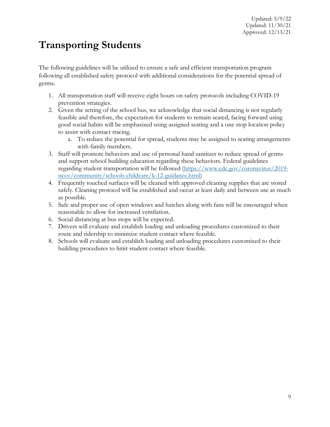# <span id="page-8-0"></span>**Transporting Students**

The following guidelines will be utilized to ensure a safe and efficient transportation program following all established safety protocol with additional considerations for the potential spread of germs.

- 1. All transportation staff will receive eight hours on safety protocols including COVID-19 prevention strategies.
- 2. Given the setting of the school bus, we acknowledge that social distancing is not regularly feasible and therefore, the expectation for students to remain seated, facing forward using good social habits will be emphasized using assigned seating and a one stop location policy to assist with contact tracing.
	- a. To reduce the potential for spread, students may be assigned to seating arrangements with family members.
- 3. Staff will promote behaviors and use of personal hand sanitizer to reduce spread of germs and support school building education regarding these behaviors. Federal guidelines regarding student transportation will be followed [\(https://www.cdc.gov/coronavirus/2019](https://www.cdc.gov/coronavirus/2019-ncov/community/schools-childcare/k-12-guidance.html) [ncov/community/schools-childcare/k-12-guidance.html\)](https://www.cdc.gov/coronavirus/2019-ncov/community/schools-childcare/k-12-guidance.html)
- 4. Frequently touched surfaces will be cleaned with approved cleaning supplies that are stored safely. Cleaning protocol will be established and occur at least daily and between use as much as possible.
- 5. Safe and proper use of open windows and hatches along with fans will be encouraged when reasonable to allow for increased ventilation.
- 6. Social distancing at bus stops will be expected.
- 7. Drivers will evaluate and establish loading and unloading procedures customized to their route and ridership to minimize student contact where feasible.
- 8. Schools will evaluate and establish loading and unloading procedures customized to their building procedures to limit student contact where feasible.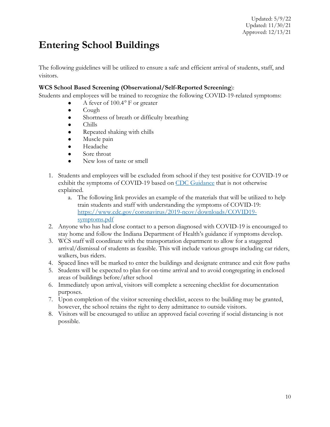### <span id="page-9-0"></span>**Entering School Buildings**

The following guidelines will be utilized to ensure a safe and efficient arrival of students, staff, and visitors.

#### **WCS School Based Screening (Observational/Self-Reported Screening**):

Students and employees will be trained to recognize the following COVID-19-related symptoms:

- A fever of 100.4*°* F or greater
- $\bullet$  Cough
- Shortness of breath or difficulty breathing
- Chills
- Repeated shaking with chills
- Muscle pain
- Headache
- Sore throat
- New loss of taste or smell
- 1. Students and employees will be excluded from school if they test positive for COVID-19 or exhibit the symptoms of COVID-19 based on [CDC Guidance](https://www.cdc.gov/coronavirus/2019-ncov/symptoms-testing/symptoms.html) that is not otherwise explained.
	- a. The following link provides an example of the materials that will be utilized to help train students and staff with understanding the symptoms of COVID-19: [https://www.cdc.gov/coronavirus/2019-ncov/downloads/COVID19](https://www.cdc.gov/coronavirus/2019-ncov/downloads/COVID19-symptoms.pdf) [symptoms.pdf](https://www.cdc.gov/coronavirus/2019-ncov/downloads/COVID19-symptoms.pdf)
- 2. Anyone who has had close contact to a person diagnosed with COVID-19 is encouraged to stay home and follow the Indiana Department of Health's guidance if symptoms develop.
- 3. WCS staff will coordinate with the transportation department to allow for a staggered arrival/dismissal of students as feasible. This will include various groups including car riders, walkers, bus riders.
- 4. Spaced lines will be marked to enter the buildings and designate entrance and exit flow paths
- 5. Students will be expected to plan for on-time arrival and to avoid congregating in enclosed areas of buildings before/after school
- 6. Immediately upon arrival, visitors will complete a screening checklist for documentation purposes.
- 7. Upon completion of the visitor screening checklist, access to the building may be granted, however, the school retains the right to deny admittance to outside visitors.
- 8. Visitors will be encouraged to utilize an approved facial covering if social distancing is not possible.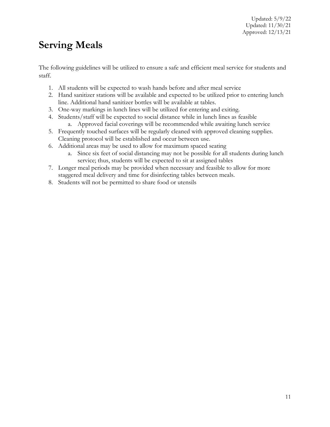### <span id="page-10-0"></span>**Serving Meals**

The following guidelines will be utilized to ensure a safe and efficient meal service for students and staff.

- 1. All students will be expected to wash hands before and after meal service
- 2. Hand sanitizer stations will be available and expected to be utilized prior to entering lunch line. Additional hand sanitizer bottles will be available at tables.
- 3. One-way markings in lunch lines will be utilized for entering and exiting.
- 4. Students/staff will be expected to social distance while in lunch lines as feasible a. Approved facial coverings will be recommended while awaiting lunch service
- 5. Frequently touched surfaces will be regularly cleaned with approved cleaning supplies. Cleaning protocol will be established and occur between use.
- 6. Additional areas may be used to allow for maximum spaced seating
	- a. Since six feet of social distancing may not be possible for all students during lunch service; thus, students will be expected to sit at assigned tables
- 7. Longer meal periods may be provided when necessary and feasible to allow for more staggered meal delivery and time for disinfecting tables between meals.
- 8. Students will not be permitted to share food or utensils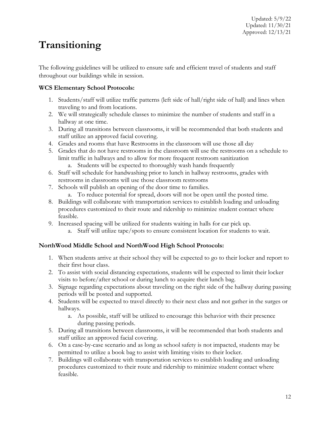# <span id="page-11-0"></span>**Transitioning**

The following guidelines will be utilized to ensure safe and efficient travel of students and staff throughout our buildings while in session.

#### **WCS Elementary School Protocols:**

- 1. Students/staff will utilize traffic patterns (left side of hall/right side of hall) and lines when traveling to and from locations.
- 2. We will strategically schedule classes to minimize the number of students and staff in a hallway at one time.
- 3. During all transitions between classrooms, it will be recommended that both students and staff utilize an approved facial covering.
- 4. Grades and rooms that have Restrooms in the classroom will use those all day
- 5. Grades that do not have restrooms in the classroom will use the restrooms on a schedule to limit traffic in hallways and to allow for more frequent restroom sanitization
	- a. Students will be expected to thoroughly wash hands frequently
- 6. Staff will schedule for handwashing prior to lunch in hallway restrooms, grades with restrooms in classrooms will use those classroom restrooms
- 7. Schools will publish an opening of the door time to families.
	- a. To reduce potential for spread, doors will not be open until the posted time.
- 8. Buildings will collaborate with transportation services to establish loading and unloading procedures customized to their route and ridership to minimize student contact where feasible.
- 9. Increased spacing will be utilized for students waiting in halls for car pick up.
	- a. Staff will utilize tape/spots to ensure consistent location for students to wait.

#### **NorthWood Middle School and NorthWood High School Protocols:**

- 1. When students arrive at their school they will be expected to go to their locker and report to their first hour class.
- 2. To assist with social distancing expectations, students will be expected to limit their locker visits to before/after school or during lunch to acquire their lunch bag.
- 3. Signage regarding expectations about traveling on the right side of the hallway during passing periods will be posted and supported.
- 4. Students will be expected to travel directly to their next class and not gather in the surges or hallways.
	- a. As possible, staff will be utilized to encourage this behavior with their presence during passing periods.
- 5. During all transitions between classrooms, it will be recommended that both students and staff utilize an approved facial covering.
- 6. On a case-by-case scenario and as long as school safety is not impacted, students may be permitted to utilize a book bag to assist with limiting visits to their locker.
- 7. Buildings will collaborate with transportation services to establish loading and unloading procedures customized to their route and ridership to minimize student contact where feasible.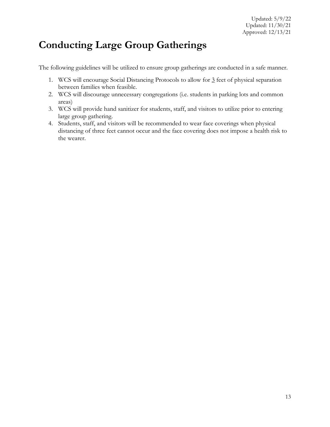### <span id="page-12-0"></span>**Conducting Large Group Gatherings**

The following guidelines will be utilized to ensure group gatherings are conducted in a safe manner.

- 1. WCS will encourage Social Distancing Protocols to allow for 3 feet of physical separation between families when feasible.
- 2. WCS will discourage unnecessary congregations (i.e. students in parking lots and common areas)
- 3. WCS will provide hand sanitizer for students, staff, and visitors to utilize prior to entering large group gathering.
- 4. Students, staff, and visitors will be recommended to wear face coverings when physical distancing of three feet cannot occur and the face covering does not impose a health risk to the wearer.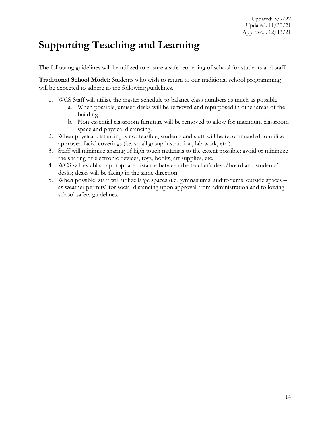### <span id="page-13-0"></span>**Supporting Teaching and Learning**

The following guidelines will be utilized to ensure a safe reopening of school for students and staff.

**Traditional School Model:** Students who wish to return to our traditional school programming will be expected to adhere to the following guidelines.

- 1. WCS Staff will utilize the master schedule to balance class numbers as much as possible
	- a. When possible, unused desks will be removed and repurposed in other areas of the building.
	- b. Non-essential classroom furniture will be removed to allow for maximum classroom space and physical distancing.
- 2. When physical distancing is not feasible, students and staff will be recommended to utilize approved facial coverings (i.e. small group instruction, lab work, etc.).
- 3. Staff will minimize sharing of high touch materials to the extent possible; avoid or minimize the sharing of electronic devices, toys, books, art supplies, etc.
- 4. WCS will establish appropriate distance between the teacher's desk/board and students' desks; desks will be facing in the same direction
- 5. When possible, staff will utilize large spaces (i.e. gymnasiums, auditoriums, outside spaces as weather permits) for social distancing upon approval from administration and following school safety guidelines.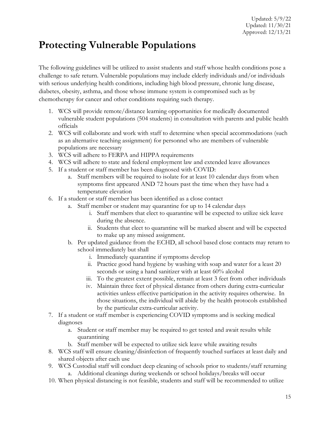### <span id="page-14-0"></span>**Protecting Vulnerable Populations**

The following guidelines will be utilized to assist students and staff whose health conditions pose a challenge to safe return. Vulnerable populations may include elderly individuals and/or individuals with serious underlying health conditions, including high blood pressure, chronic lung disease, diabetes, obesity, asthma, and those whose immune system is compromised such as by chemotherapy for cancer and other conditions requiring such therapy.

- 1. WCS will provide remote/distance learning opportunities for medically documented vulnerable student populations (504 students) in consultation with parents and public health officials
- 2. WCS will collaborate and work with staff to determine when special accommodations (such as an alternative teaching assignment) for personnel who are members of vulnerable populations are necessary
- 3. WCS will adhere to FERPA and HIPPA requirements
- 4. WCS will adhere to state and federal employment law and extended leave allowances
- 5. If a student or staff member has been diagnosed with COVID:
	- a. Staff members will be required to isolate for at least 10 calendar days from when symptoms first appeared AND 72 hours past the time when they have had a temperature elevation
- 6. If a student or staff member has been identified as a close contact
	- a. Staff member or student may quarantine for up to 14 calendar days
		- i. Staff members that elect to quarantine will be expected to utilize sick leave during the absence.
		- ii. Students that elect to quarantine will be marked absent and will be expected to make up any missed assignment.
	- b. Per updated guidance from the ECHD, all school based close contacts may return to school immediately but shall
		- i. Immediately quarantine if symptoms develop
		- ii. Practice good hand hygiene by washing with soap and water for a least 20 seconds or using a hand sanitizer with at least 60% alcohol
		- iii. To the greatest extent possible, remain at least 3 feet from other individuals
		- iv. Maintain three feet of physical distance from others during extra-curricular activities unless effective participation in the activity requires otherwise. In those situations, the individual will abide by the health protocols established by the particular extra-curricular activity.
- 7. If a student or staff member is experiencing COVID symptoms and is seeking medical diagnoses
	- a. Student or staff member may be required to get tested and await results while quarantining
	- b. Staff member will be expected to utilize sick leave while awaiting results
- 8. WCS staff will ensure cleaning/disinfection of frequently touched surfaces at least daily and shared objects after each use
- 9. WCS Custodial staff will conduct deep cleaning of schools prior to students/staff returning a. Additional cleanings during weekends or school holidays/breaks will occur
- 10. When physical distancing is not feasible, students and staff will be recommended to utilize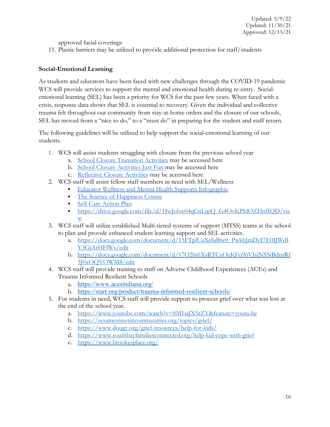approved facial coverings

11. Plastic barriers may be utilized to provide additional protection for staff/students

#### **Social-Emotional Learning**

As students and educators have been faced with new challenges through the COVID-19 pandemic WCS will provide services to support the mental and emotional health during re-entry. Socialemotional learning (SEL) has been a priority for WCS for the past few years. When faced with a crisis, response data shows that SEL is essential to recovery. Given the individual and collective trauma felt throughout our community from stay-at-home orders and the closure of our schools, SEL has moved from a "nice to do," to a "must do" in preparing for the student and staff return.

The following guidelines will be utilized to help support the social-emotional learning of our students.

- 1. WCS will assist students struggling with closure from the previous school year
	- a. [School Closure Transition Activities](https://docs.google.com/document/d/1rs7jgt3ve1zyeqFlZbCn8bhwxoCI1BxPaMJN9q3--kY/edit?usp=sharing) may be accessed here
	- b. [School Closure Activities Just Fun](https://docs.google.com/document/d/1wABzvmiv715d81Q1jzTNbzU6HCCowyGMs3CHsWyn4GE/edit?usp=sharing) may be accessed here
	- c. [Reflective Closure Activities](https://docs.google.com/document/d/1z3a2YllQD1PtFkIWg_XhEXHNCdhWQNp4MlC1rj5FH50/edit?usp=sharing) may be accessed here
- 2. WCS staff will assist fellow staff members in need with SEL/Wellness
	- [Educator Wellness and Mental Health Supports Infographic](https://drive.google.com/file/d/1QYpzJUnhxCbMo_Rzs1MQvQfevqo72Wmi/view)
	- [The Science of Happiness Course](https://moodle.doe.in.gov/)
	- **[Self-Care Action Plan](https://docs.google.com/document/d/1160UigN0MI5vlPA27fqqwJIF2o4RoBb05m84snunwVA/edit?usp=sharing)**
	- [https://drive.google.com/file/d/1IwJobw04qCnLspQ\\_G4OvKPhlOZHnfIQD/vie](https://drive.google.com/file/d/1IwJobw04qCnLspQ_G4OvKPhlOZHnfIQD/view) [w](https://drive.google.com/file/d/1IwJobw04qCnLspQ_G4OvKPhlOZHnfIQD/view)
- 3. WCS staff will utilize established Multi-tiered systems of support (MTSS) teams at the school to plan and provide enhanced student learning support and SEL activities.
	- a. [https://docs.google.com/document/d/13FTplUaXebd8w0\\_PwkhJmDyI7E0IJWdI](https://docs.google.com/document/d/13FTplUaXebd8w0_PwkhJmDyI7E0IJWdIY3GjArHFlWs/edit) [Y3GjArHFlWs/edit](https://docs.google.com/document/d/13FTplUaXebd8w0_PwkhJmDyI7E0IJWdIY3GjArHFlWs/edit)
	- b. [https://docs.google.com/document/d/17O26t6XsRTCxOeKFo96VJsjNSNBdnsRf](https://docs.google.com/document/d/17O26t6XsRTCxOeKFo96VJsjNSNBdnsRf3J0xOQVOWM8/edit) [3J0xOQVOWM8/edit](https://docs.google.com/document/d/17O26t6XsRTCxOeKFo96VJsjNSNBdnsRf3J0xOQVOWM8/edit)
- 4. WCS staff will provide training to staff on Adverse Childhood Experiences (ACEs) and Trauma Informed Resilient Schools
	- a. <https://www.acesindiana.org/>
	- b. <https://starr.org/product/trauma-informed-resilient-schools/>
- 5. For students in need, WCS staff will provide support to process grief over what was lost at the end of the school year.
	- a. <https://www.youtube.com/watch?v=SM1iaJX5rZY&feature=youtu.be>
	- b. <https://sesamestreetincommunities.org/topics/grief/>
	- c. <https://www.dougy.org/grief-resources/help-for-kids/>
	- d. <https://www.southbayfamiliesconnected.org/help-kid-cope-with-grief>
	- e. <https://www.brookesplace.org/>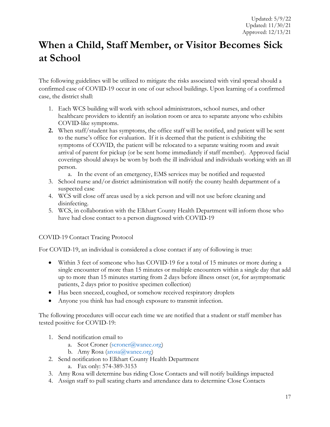# <span id="page-16-0"></span>**When a Child, Staff Member, or Visitor Becomes Sick at School**

The following guidelines will be utilized to mitigate the risks associated with viral spread should a confirmed case of COVID-19 occur in one of our school buildings. Upon learning of a confirmed case, the district shall:

- 1. Each WCS building will work with school administrators, school nurses, and other healthcare providers to identify an isolation room or area to separate anyone who exhibits COVID-like symptoms.
- **2.** When staff/student has symptoms, the office staff will be notified, and patient will be sent to the nurse's office for evaluation. If it is deemed that the patient is exhibiting the symptoms of COVID, the patient will be relocated to a separate waiting room and await arrival of parent for pickup (or be sent home immediately if staff member). Approved facial coverings should always be worn by both the ill individual and individuals working with an ill person.
	- a. In the event of an emergency, EMS services may be notified and requested
- 3. School nurse and/or district administration will notify the county health department of a suspected case
- 4. WCS will close off areas used by a sick person and will not use before cleaning and disinfecting.
- 5. WCS, in collaboration with the Elkhart County Health Department will inform those who have had close contact to a person diagnosed with COVID-19

#### COVID-19 Contact Tracing Protocol

For COVID-19, an individual is considered a close contact if any of following is true:

- Within 3 feet of someone who has COVID-19 for a total of 15 minutes or more during a single encounter of more than 15 minutes or multiple encounters within a single day that add up to more than 15 minutes starting from 2 days before illness onset (or, for asymptomatic patients, 2 days prior to positive specimen collection)
- Has been sneezed, coughed, or somehow received respiratory droplets
- Anyone you think has had enough exposure to transmit infection.

The following procedures will occur each time we are notified that a student or staff member has tested positive for COVID-19:

- 1. Send notification email to
	- a. Scot Croner [\(scroner@wanee.org\)](mailto:scroner@wanee.org)
	- b. Amy Rosa [\(arosa@wanee.org\)](mailto:arosa@wanee.org)
- 2. Send notification to Elkhart County Health Department
	- a. Fax only: 574-389-3153
- 3. Amy Rosa will determine bus riding Close Contacts and will notify buildings impacted
- 4. Assign staff to pull seating charts and attendance data to determine Close Contacts